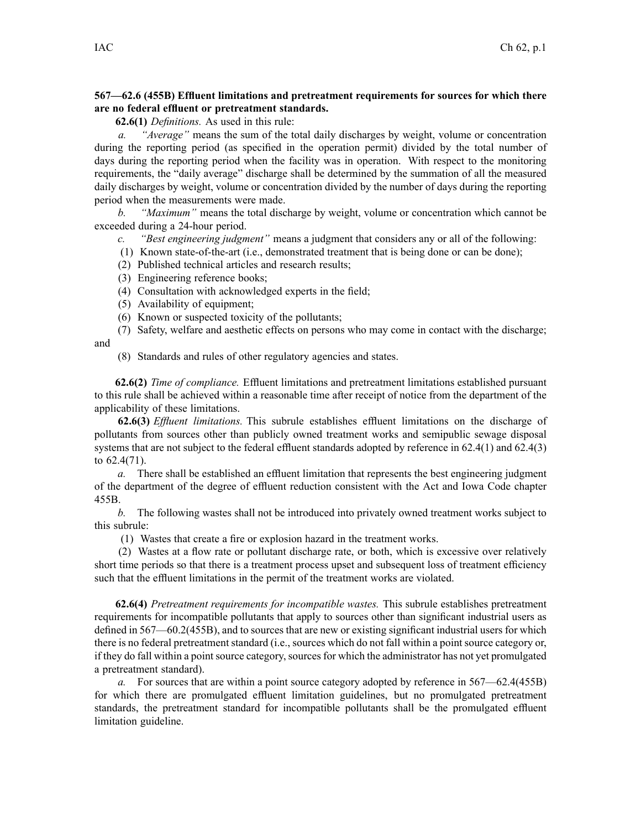## **567—62.6 (455B) Effluent limitations and pretreatment requirements for sources for which there are no federal effluent or pretreatment standards.**

**62.6(1)** *Definitions.* As used in this rule:

*a. "Average"* means the sum of the total daily discharges by weight, volume or concentration during the reporting period (as specified in the operation permit) divided by the total number of days during the reporting period when the facility was in operation. With respec<sup>t</sup> to the monitoring requirements, the "daily average" discharge shall be determined by the summation of all the measured daily discharges by weight, volume or concentration divided by the number of days during the reporting period when the measurements were made.

*b. "Maximum"* means the total discharge by weight, volume or concentration which cannot be exceeded during <sup>a</sup> 24-hour period.

- *c. "Best engineering judgment"* means <sup>a</sup> judgment that considers any or all of the following:
- (1) Known state-of-the-art (i.e., demonstrated treatment that is being done or can be done);
- (2) Published technical articles and research results;
- (3) Engineering reference books;
- (4) Consultation with acknowledged experts in the field;
- (5) Availability of equipment;
- (6) Known or suspected toxicity of the pollutants;
- (7) Safety, welfare and aesthetic effects on persons who may come in contact with the discharge;
- (8) Standards and rules of other regulatory agencies and states.

**62.6(2)** *Time of compliance.* Effluent limitations and pretreatment limitations established pursuan<sup>t</sup> to this rule shall be achieved within <sup>a</sup> reasonable time after receipt of notice from the department of the applicability of these limitations.

**62.6(3)** *Effluent limitations.* This subrule establishes effluent limitations on the discharge of pollutants from sources other than publicly owned treatment works and semipublic sewage disposal systems that are not subject to the federal effluent standards adopted by reference in 62.4(1) and 62.4(3) to 62.4(71).

*a.* There shall be established an effluent limitation that represents the best engineering judgment of the department of the degree of effluent reduction consistent with the Act and Iowa Code chapter 455B.

*b.* The following wastes shall not be introduced into privately owned treatment works subject to this subrule:

(1) Wastes that create <sup>a</sup> fire or explosion hazard in the treatment works.

(2) Wastes at <sup>a</sup> flow rate or pollutant discharge rate, or both, which is excessive over relatively short time periods so that there is <sup>a</sup> treatment process upse<sup>t</sup> and subsequent loss of treatment efficiency such that the effluent limitations in the permit of the treatment works are violated.

**62.6(4)** *Pretreatment requirements for incompatible wastes.* This subrule establishes pretreatment requirements for incompatible pollutants that apply to sources other than significant industrial users as defined in 567—60.2(455B), and to sources that are new or existing significant industrial users for which there is no federal pretreatment standard (i.e., sources which do not fall within <sup>a</sup> point source category or, if they do fall within a point source category, sources for which the administrator has not yet promulgated <sup>a</sup> pretreatment standard).

*a.* For sources that are within <sup>a</sup> point source category adopted by reference in 567—62.4(455B) for which there are promulgated effluent limitation guidelines, but no promulgated pretreatment standards, the pretreatment standard for incompatible pollutants shall be the promulgated effluent limitation guideline.

and